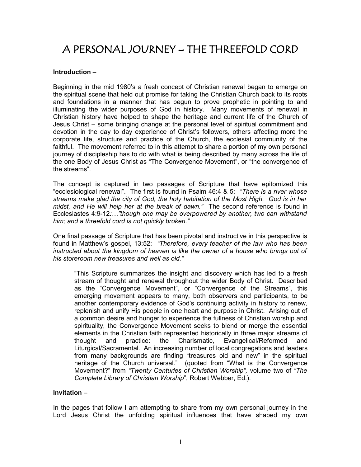# A PERSONAL JOURNEY – THE THREEFOLD CORD

### **Introduction** –

Beginning in the mid 1980's a fresh concept of Christian renewal began to emerge on the spiritual scene that held out promise for taking the Christian Church back to its roots and foundations in a manner that has begun to prove prophetic in pointing to and illuminating the wider purposes of God in history. Many movements of renewal in Christian history have helped to shape the heritage and current life of the Church of Jesus Christ – some bringing change at the personal level of spiritual commitment and devotion in the day to day experience of Christ's followers, others affecting more the corporate life, structure and practice of the Church, the ecclesial community of the faithful. The movement referred to in this attempt to share a portion of my own personal journey of discipleship has to do with what is being described by many across the life of the one Body of Jesus Christ as "The Convergence Movement", or "the convergence of the streams".

The concept is captured in two passages of Scripture that have epitomized this "ecclesiological renewal". The first is found in Psalm 46:4 & 5: *"There is a river whose streams make glad the city of God, the holy habitation of the Most High. God is in her midst, and He will help her at the break of dawn."* The second reference is found in Ecclesiastes 4:9-12*:…"though one may be overpowered by another, two can withstand him; and a threefold cord is not quickly broken."* 

One final passage of Scripture that has been pivotal and instructive in this perspective is found in Matthew's gospel, 13:52: *"Therefore, every teacher of the law who has been instructed about the kingdom of heaven is like the owner of a house who brings out of his storeroom new treasures and well as old."*

"This Scripture summarizes the insight and discovery which has led to a fresh stream of thought and renewal throughout the wider Body of Christ. Described as the "Convergence Movement", or "Convergence of the Streams", this emerging movement appears to many, both observers and participants, to be another contemporary evidence of God's continuing activity in history to renew, replenish and unify His people in one heart and purpose in Christ. Arising out of a common desire and hunger to experience the fullness of Christian worship and spirituality, the Convergence Movement seeks to blend or merge the essential elements in the Christian faith represented historically in three major streams of thought and practice: the Charismatic, Evangelical/Reformed and Liturgical/Sacramental. An increasing number of local congregations and leaders from many backgrounds are finding "treasures old and new" in the spiritual heritage of the Church universal." (quoted from "What is the Convergence Movement?" from *"Twenty Centuries of Christian Worship",* volume two of *"The Complete Library of Christian Worship*", Robert Webber, Ed.).

#### **Invitation** –

In the pages that follow I am attempting to share from my own personal journey in the Lord Jesus Christ the unfolding spiritual influences that have shaped my own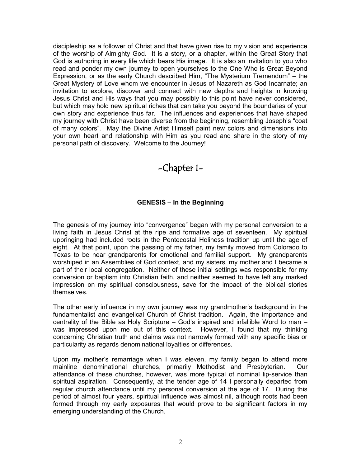discipleship as a follower of Christ and that have given rise to my vision and experience of the worship of Almighty God. It is a story, or a chapter, within the Great Story that God is authoring in every life which bears His image. It is also an invitation to you who read and ponder my own journey to open yourselves to the One Who is Great Beyond Expression, or as the early Church described Him, "The Mysterium Tremendum" – the Great Mystery of Love whom we encounter in Jesus of Nazareth as God Incarnate; an invitation to explore, discover and connect with new depths and heights in knowing Jesus Christ and His ways that you may possibly to this point have never considered, but which may hold new spiritual riches that can take you beyond the boundaries of your own story and experience thus far. The influences and experiences that have shaped my journey with Christ have been diverse from the beginning, resembling Joseph's "coat of many colors". May the Divine Artist Himself paint new colors and dimensions into your own heart and relationship with Him as you read and share in the story of my personal path of discovery. Welcome to the Journey!

-Chapter I-

### **GENESIS – In the Beginning**

The genesis of my journey into "convergence" began with my personal conversion to a living faith in Jesus Christ at the ripe and formative age of seventeen. My spiritual upbringing had included roots in the Pentecostal Holiness tradition up until the age of eight. At that point, upon the passing of my father, my family moved from Colorado to Texas to be near grandparents for emotional and familial support. My grandparents worshiped in an Assemblies of God context, and my sisters, my mother and I became a part of their local congregation. Neither of these initial settings was responsible for my conversion or baptism into Christian faith, and neither seemed to have left any marked impression on my spiritual consciousness, save for the impact of the biblical stories themselves.

The other early influence in my own journey was my grandmother's background in the fundamentalist and evangelical Church of Christ tradition. Again, the importance and centrality of the Bible as Holy Scripture – God's inspired and infallible Word to man – was impressed upon me out of this context. However, I found that my thinking concerning Christian truth and claims was not narrowly formed with any specific bias or particularity as regards denominational loyalties or differences.

Upon my mother's remarriage when I was eleven, my family began to attend more mainline denominational churches, primarily Methodist and Presbyterian. Our attendance of these churches, however, was more typical of nominal lip-service than spiritual aspiration. Consequently, at the tender age of 14 I personally departed from regular church attendance until my personal conversion at the age of 17. During this period of almost four years, spiritual influence was almost nil, although roots had been formed through my early exposures that would prove to be significant factors in my emerging understanding of the Church.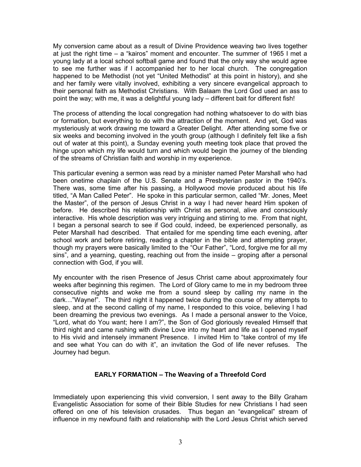My conversion came about as a result of Divine Providence weaving two lives together at just the right time – a "kairos" moment and encounter. The summer of 1965 I met a young lady at a local school softball game and found that the only way she would agree to see me further was if I accompanied her to her local church. The congregation happened to be Methodist (not yet "United Methodist" at this point in history), and she and her family were vitally involved, exhibiting a very sincere evangelical approach to their personal faith as Methodist Christians. With Balaam the Lord God used an ass to point the way; with me, it was a delightful young lady – different bait for different fish!

The process of attending the local congregation had nothing whatsoever to do with bias or formation, but everything to do with the attraction of the moment. And yet, God was mysteriously at work drawing me toward a Greater Delight. After attending some five or six weeks and becoming involved in the youth group (although I definitely felt like a fish out of water at this point), a Sunday evening youth meeting took place that proved the hinge upon which my life would turn and which would begin the journey of the blending of the streams of Christian faith and worship in my experience.

This particular evening a sermon was read by a minister named Peter Marshall who had been onetime chaplain of the U.S. Senate and a Presbyterian pastor in the 1940's. There was, some time after his passing, a Hollywood movie produced about his life titled, "A Man Called Peter". He spoke in this particular sermon, called "Mr. Jones, Meet the Master", of the person of Jesus Christ in a way I had never heard Him spoken of before. He described his relationship with Christ as personal, alive and consciously interactive. His whole description was very intriguing and stirring to me. From that night, I began a personal search to see if God could, indeed, be experienced personally, as Peter Marshall had described. That entailed for me spending time each evening, after school work and before retiring, reading a chapter in the bible and attempting prayer, though my prayers were basically limited to the "Our Father", "Lord, forgive me for all my sins", and a yearning, questing, reaching out from the inside – groping after a personal connection with God, if you will.

My encounter with the risen Presence of Jesus Christ came about approximately four weeks after beginning this regimen. The Lord of Glory came to me in my bedroom three consecutive nights and woke me from a sound sleep by calling my name in the dark…"Wayne!". The third night it happened twice during the course of my attempts to sleep, and at the second calling of my name, I responded to this voice, believing I had been dreaming the previous two evenings. As I made a personal answer to the Voice, "Lord, what do You want; here I am?", the Son of God gloriously revealed Himself that third night and came rushing with divine Love into my heart and life as I opened myself to His vivid and intensely immanent Presence. I invited Him to "take control of my life and see what You can do with it", an invitation the God of life never refuses. The Journey had begun.

## **EARLY FORMATION – The Weaving of a Threefold Cord**

Immediately upon experiencing this vivid conversion, I sent away to the Billy Graham Evangelistic Association for some of their Bible Studies for new Christians I had seen offered on one of his television crusades. Thus began an "evangelical" stream of influence in my newfound faith and relationship with the Lord Jesus Christ which served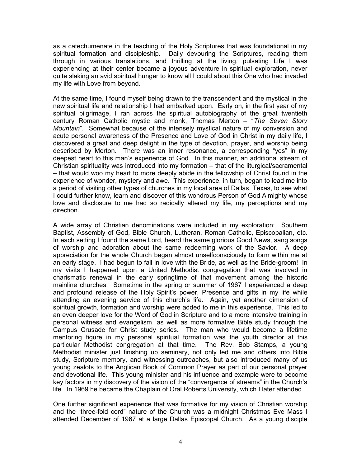as a catechumenate in the teaching of the Holy Scriptures that was foundational in my spiritual formation and discipleship. Daily devouring the Scriptures, reading them through in various translations, and thrilling at the living, pulsating Life I was experiencing at their center became a joyous adventure in spiritual exploration, never quite slaking an avid spiritual hunger to know all I could about this One who had invaded my life with Love from beyond.

At the same time, I found myself being drawn to the transcendent and the mystical in the new spiritual life and relationship I had embarked upon. Early on, in the first year of my spiritual pilgrimage, I ran across the spiritual autobiography of the great twentieth century Roman Catholic mystic and monk, Thomas Merton – "*The Seven Story Mountain*". Somewhat because of the intensely mystical nature of my conversion and acute personal awareness of the Presence and Love of God in Christ in my daily life, I discovered a great and deep delight in the type of devotion, prayer, and worship being described by Merton. There was an inner resonance, a corresponding "yes" in my deepest heart to this man's experience of God. In this manner, an additional stream of Christian spirituality was introduced into my formation – that of the liturgical/sacramental – that would woo my heart to more deeply abide in the fellowship of Christ found in the experience of wonder, mystery and awe. This experience, in turn, began to lead me into a period of visiting other types of churches in my local area of Dallas, Texas, to see what I could further know, learn and discover of this wondrous Person of God Almighty whose love and disclosure to me had so radically altered my life, my perceptions and my direction.

A wide array of Christian denominations were included in my exploration: Southern Baptist, Assembly of God, Bible Church, Lutheran, Roman Catholic, Episcopalian, etc. In each setting I found the same Lord, heard the same glorious Good News, sang songs of worship and adoration about the same redeeming work of the Savior. A deep appreciation for the whole Church began almost unselfconsciously to form within me at an early stage. I had begun to fall in love with the Bride, as well as the Bride-groom! In my visits I happened upon a United Methodist congregation that was involved in charismatic renewal in the early springtime of that movement among the historic mainline churches. Sometime in the spring or summer of 1967 I experienced a deep and profound release of the Holy Spirit's power, Presence and gifts in my life while attending an evening service of this church's life. Again, yet another dimension of spiritual growth, formation and worship were added to me in this experience. This led to an even deeper love for the Word of God in Scripture and to a more intensive training in personal witness and evangelism, as well as more formative Bible study through the Campus Crusade for Christ study series. The man who would become a lifetime mentoring figure in my personal spiritual formation was the youth director at this particular Methodist congregation at that time. The Rev. Bob Stamps, a young Methodist minister just finishing up seminary, not only led me and others into Bible study, Scripture memory, and witnessing outreaches, but also introduced many of us young zealots to the Anglican Book of Common Prayer as part of our personal prayer and devotional life. This young minister and his influence and example were to become key factors in my discovery of the vision of the "convergence of streams" in the Church's life. In 1969 he became the Chaplain of Oral Roberts University, which I later attended.

One further significant experience that was formative for my vision of Christian worship and the "three-fold cord" nature of the Church was a midnight Christmas Eve Mass I attended December of 1967 at a large Dallas Episcopal Church. As a young disciple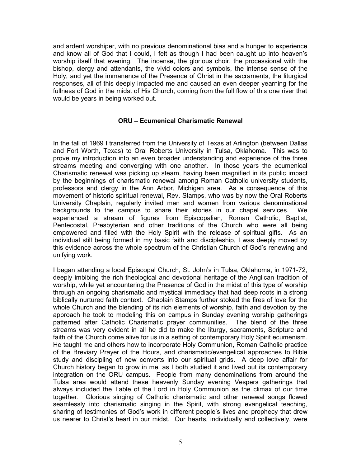and ardent worshiper, with no previous denominational bias and a hunger to experience and know all of God that I could, I felt as though I had been caught up into heaven's worship itself that evening. The incense, the glorious choir, the processional with the bishop, clergy and attendants, the vivid colors and symbols, the intense sense of the Holy, and yet the immanence of the Presence of Christ in the sacraments, the liturgical responses, all of this deeply impacted me and caused an even deeper yearning for the fullness of God in the midst of His Church, coming from the full flow of this one river that would be years in being worked out.

### **ORU – Ecumenical Charismatic Renewal**

In the fall of 1969 I transferred from the University of Texas at Arlington (between Dallas and Fort Worth, Texas) to Oral Roberts University in Tulsa, Oklahoma. This was to prove my introduction into an even broader understanding and experience of the three streams meeting and converging with one another. In those years the ecumenical Charismatic renewal was picking up steam, having been magnified in its public impact by the beginnings of charismatic renewal among Roman Catholic university students, professors and clergy in the Ann Arbor, Michigan area. As a consequence of this movement of historic spiritual renewal, Rev. Stamps, who was by now the Oral Roberts University Chaplain, regularly invited men and women from various denominational backgrounds to the campus to share their stories in our chapel services. We experienced a stream of figures from Episcopalian, Roman Catholic, Baptist, Pentecostal, Presbyterian and other traditions of the Church who were all being empowered and filled with the Holy Spirit with the release of spiritual gifts. As an individual still being formed in my basic faith and discipleship, I was deeply moved by this evidence across the whole spectrum of the Christian Church of God's renewing and unifying work.

I began attending a local Episcopal Church, St. John's in Tulsa, Oklahoma, in 1971-72, deeply imbibing the rich theological and devotional heritage of the Anglican tradition of worship, while yet encountering the Presence of God in the midst of this type of worship through an ongoing charismatic and mystical immediacy that had deep roots in a strong biblically nurtured faith context. Chaplain Stamps further stoked the fires of love for the whole Church and the blending of its rich elements of worship, faith and devotion by the approach he took to modeling this on campus in Sunday evening worship gatherings patterned after Catholic Charismatic prayer communities. The blend of the three streams was very evident in all he did to make the liturgy, sacraments, Scripture and faith of the Church come alive for us in a setting of contemporary Holy Spirit ecumenism. He taught me and others how to incorporate Holy Communion, Roman Catholic practice of the Breviary Prayer of the Hours, and charismatic/evangelical approaches to Bible study and discipling of new converts into our spiritual grids. A deep love affair for Church history began to grow in me, as I both studied it and lived out its contemporary integration on the ORU campus. People from many denominations from around the Tulsa area would attend these heavenly Sunday evening Vespers gatherings that always included the Table of the Lord in Holy Communion as the climax of our time together. Glorious singing of Catholic charismatic and other renewal songs flowed seamlessly into charismatic singing in the Spirit, with strong evangelical teaching, sharing of testimonies of God's work in different people's lives and prophecy that drew us nearer to Christ's heart in our midst. Our hearts, individually and collectively, were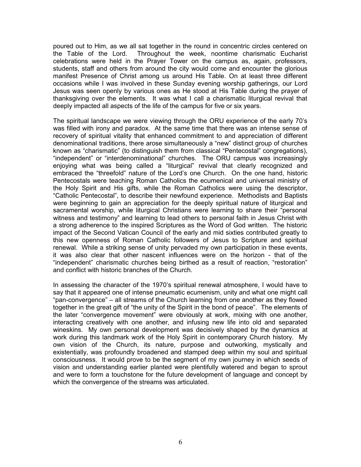poured out to Him, as we all sat together in the round in concentric circles centered on the Table of the Lord. Throughout the week, noontime charismatic Eucharist celebrations were held in the Prayer Tower on the campus as, again, professors, students, staff and others from around the city would come and encounter the glorious manifest Presence of Christ among us around His Table. On at least three different occasions while I was involved in these Sunday evening worship gatherings, our Lord Jesus was seen openly by various ones as He stood at His Table during the prayer of thanksgiving over the elements. It was what I call a charismatic liturgical revival that deeply impacted all aspects of the life of the campus for five or six years.

The spiritual landscape we were viewing through the ORU experience of the early 70's was filled with irony and paradox. At the same time that there was an intense sense of recovery of spiritual vitality that enhanced commitment to and appreciation of different denominational traditions, there arose simultaneously a "new" distinct group of churches known as "charismatic" (to distinguish them from classical "Pentecostal" congregations), "independent" or "interdenominational" churches. The ORU campus was increasingly enjoying what was being called a "liturgical" revival that clearly recognized and embraced the "threefold" nature of the Lord's one Church. On the one hand, historic Pentecostals were teaching Roman Catholics the ecumenical and universal ministry of the Holy Spirit and His gifts, while the Roman Catholics were using the descriptor, "Catholic Pentecostal", to describe their newfound experience. Methodists and Baptists were beginning to gain an appreciation for the deeply spiritual nature of liturgical and sacramental worship, while liturgical Christians were learning to share their "personal witness and testimony" and learning to lead others to personal faith in Jesus Christ with a strong adherence to the inspired Scriptures as the Word of God written. The historic impact of the Second Vatican Council of the early and mid sixties contributed greatly to this new openness of Roman Catholic followers of Jesus to Scripture and spiritual renewal. While a striking sense of unity pervaded my own participation in these events, it was also clear that other nascent influences were on the horizon - that of the "independent" charismatic churches being birthed as a result of reaction, "restoration" and conflict with historic branches of the Church.

In assessing the character of the 1970's spiritual renewal atmosphere, I would have to say that it appeared one of intense pneumatic ecumenism, unity and what one might call "pan-convergence" – all streams of the Church learning from one another as they flowed together in the great gift of "the unity of the Spirit in the bond of peace". The elements of the later "convergence movement" were obviously at work, mixing with one another, interacting creatively with one another, and infusing new life into old and separated wineskins. My own personal development was decisively shaped by the dynamics at work during this landmark work of the Holy Spirit in contemporary Church history. My own vision of the Church, its nature, purpose and outworking, mystically and existentially, was profoundly broadened and stamped deep within my soul and spiritual consciousness. It would prove to be the segment of my own journey in which seeds of vision and understanding earlier planted were plentifully watered and began to sprout and were to form a touchstone for the future development of language and concept by which the convergence of the streams was articulated.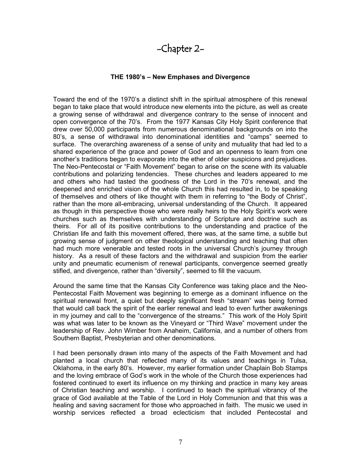# -Chapter 2-

### **THE 1980's – New Emphases and Divergence**

Toward the end of the 1970's a distinct shift in the spiritual atmosphere of this renewal began to take place that would introduce new elements into the picture, as well as create a growing sense of withdrawal and divergence contrary to the sense of innocent and open convergence of the 70's. From the 1977 Kansas City Holy Spirit conference that drew over 50,000 participants from numerous denominational backgrounds on into the 80's, a sense of withdrawal into denominational identities and "camps" seemed to surface. The overarching awareness of a sense of unity and mutuality that had led to a shared experience of the grace and power of God and an openness to learn from one another's traditions began to evaporate into the ether of older suspicions and prejudices. The Neo-Pentecostal or "Faith Movement" began to arise on the scene with its valuable contributions and polarizing tendencies. These churches and leaders appeared to me and others who had tasted the goodness of the Lord in the 70's renewal, and the deepened and enriched vision of the whole Church this had resulted in, to be speaking of themselves and others of like thought with them in referring to "the Body of Christ", rather than the more all-embracing, universal understanding of the Church. It appeared as though in this perspective those who were really heirs to the Holy Spirit's work were churches such as themselves with understanding of Scripture and doctrine such as theirs. For all of its positive contributions to the understanding and practice of the Christian life and faith this movement offered, there was, at the same time, a subtle but growing sense of judgment on other theological understanding and teaching that often had much more venerable and tested roots in the universal Church's journey through history. As a result of these factors and the withdrawal and suspicion from the earlier unity and pneumatic ecumenism of renewal participants, convergence seemed greatly stifled, and divergence, rather than "diversity", seemed to fill the vacuum.

Around the same time that the Kansas City Conference was taking place and the Neo-Pentecostal Faith Movement was beginning to emerge as a dominant influence on the spiritual renewal front, a quiet but deeply significant fresh "stream" was being formed that would call back the spirit of the earlier renewal and lead to even further awakenings in my journey and call to the "convergence of the streams." This work of the Holy Spirit was what was later to be known as the Vineyard or "Third Wave" movement under the leadership of Rev. John Wimber from Anaheim, California, and a number of others from Southern Baptist, Presbyterian and other denominations.

I had been personally drawn into many of the aspects of the Faith Movement and had planted a local church that reflected many of its values and teachings in Tulsa, Oklahoma, in the early 80's. However, my earlier formation under Chaplain Bob Stamps and the loving embrace of God's work in the whole of the Church those experiences had fostered continued to exert its influence on my thinking and practice in many key areas of Christian teaching and worship. I continued to teach the spiritual vibrancy of the grace of God available at the Table of the Lord in Holy Communion and that this was a healing and saving sacrament for those who approached in faith. The music we used in worship services reflected a broad eclecticism that included Pentecostal and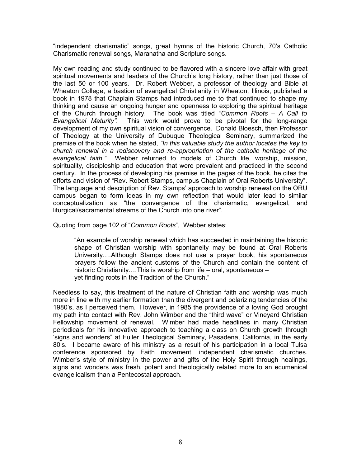"independent charismatic" songs, great hymns of the historic Church, 70's Catholic Charismatic renewal songs, Maranatha and Scripture songs.

My own reading and study continued to be flavored with a sincere love affair with great spiritual movements and leaders of the Church's long history, rather than just those of the last 50 or 100 years. Dr. Robert Webber, a professor of theology and Bible at Wheaton College, a bastion of evangelical Christianity in Wheaton, Illinois, published a book in 1978 that Chaplain Stamps had introduced me to that continued to shape my thinking and cause an ongoing hunger and openness to exploring the spiritual heritage of the Church through history. The book was titled *"Common Roots – A Call to Evangelical Maturity".* This work would prove to be pivotal for the long-range development of my own spiritual vision of convergence. Donald Bloesch, then Professor of Theology at the University of Dubuque Theological Seminary, summarized the premise of the book when he stated, *"In this valuable study the author locates the key to church renewal in a rediscovery and re-appropriation of the catholic heritage of the evangelical faith."* Webber returned to models of Church life, worship, mission, spirituality, discipleship and education that were prevalent and practiced in the second century. In the process of developing his premise in the pages of the book, he cites the efforts and vision of "Rev. Robert Stamps, campus Chaplain of Oral Roberts University". The language and description of Rev. Stamps' approach to worship renewal on the ORU campus began to form ideas in my own reflection that would later lead to similar conceptualization as "the convergence of the charismatic, evangelical, and liturgical/sacramental streams of the Church into one river".

Quoting from page 102 of "*Common Roots*", Webber states:

"An example of worship renewal which has succeeded in maintaining the historic shape of Christian worship with spontaneity may be found at Oral Roberts University….Although Stamps does not use a prayer book, his spontaneous prayers follow the ancient customs of the Church and contain the content of historic Christianity....This is worship from life – oral, spontaneous – yet finding roots in the Tradition of the Church."

Needless to say, this treatment of the nature of Christian faith and worship was much more in line with my earlier formation than the divergent and polarizing tendencies of the 1980's, as I perceived them. However, in 1985 the providence of a loving God brought my path into contact with Rev. John Wimber and the "third wave" or Vineyard Christian Fellowship movement of renewal. Wimber had made headlines in many Christian periodicals for his innovative approach to teaching a class on Church growth through 'signs and wonders" at Fuller Theological Seminary, Pasadena, California, in the early 80's. I became aware of his ministry as a result of his participation in a local Tulsa conference sponsored by Faith movement, independent charismatic churches. Wimber's style of ministry in the power and gifts of the Holy Spirit through healings, signs and wonders was fresh, potent and theologically related more to an ecumenical evangelicalism than a Pentecostal approach.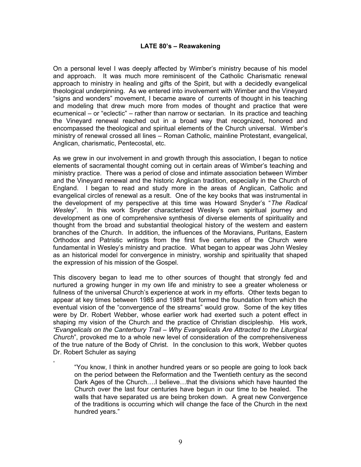### **LATE 80's – Reawakening**

On a personal level I was deeply affected by Wimber's ministry because of his model and approach. It was much more reminiscent of the Catholic Charismatic renewal approach to ministry in healing and gifts of the Spirit, but with a decidedly evangelical theological underpinning. As we entered into involvement with Wimber and the Vineyard "signs and wonders" movement, I became aware of currents of thought in his teaching and modeling that drew much more from modes of thought and practice that were ecumenical – or "eclectic" – rather than narrow or sectarian. In its practice and teaching the Vineyard renewal reached out in a broad way that recognized, honored and encompassed the theological and spiritual elements of the Church universal. Wimber's ministry of renewal crossed all lines – Roman Catholic, mainline Protestant, evangelical, Anglican, charismatic, Pentecostal, etc.

As we grew in our involvement in and growth through this association, I began to notice elements of sacramental thought coming out in certain areas of Wimber's teaching and ministry practice. There was a period of close and intimate association between Wimber and the Vineyard renewal and the historic Anglican tradition, especially in the Church of England. I began to read and study more in the areas of Anglican, Catholic and evangelical circles of renewal as a result. One of the key books that was instrumental in the development of my perspective at this time was Howard Snyder's "*The Radical Wesley*". In this work Snyder characterized Wesley's own spiritual journey and development as one of comprehensive synthesis of diverse elements of spirituality and thought from the broad and substantial theological history of the western and eastern branches of the Church. In addition, the influences of the Moravians, Puritans, Eastern Orthodox and Patristic writings from the first five centuries of the Church were fundamental in Wesley's ministry and practice. What began to appear was John Wesley as an historical model for convergence in ministry, worship and spirituality that shaped the expression of his mission of the Gospel.

This discovery began to lead me to other sources of thought that strongly fed and nurtured a growing hunger in my own life and ministry to see a greater wholeness or fullness of the universal Church's experience at work in my efforts. Other texts began to appear at key times between 1985 and 1989 that formed the foundation from which the eventual vision of the "convergence of the streams" would grow. Some of the key titles were by Dr. Robert Webber, whose earlier work had exerted such a potent effect in shaping my vision of the Church and the practice of Christian discipleship. His work, *"Evangelicals on the Canterbury Trail – Why Evangelicals Are Attracted to the Liturgical Church*", provoked me to a whole new level of consideration of the comprehensiveness of the true nature of the Body of Christ. In the conclusion to this work, Webber quotes Dr. Robert Schuler as saying

,

"You know, I think in another hundred years or so people are going to look back on the period between the Reformation and the Twentieth century as the second Dark Ages of the Church….I believe…that the divisions which have haunted the Church over the last four centuries have begun in our time to be healed. The walls that have separated us are being broken down. A great new Convergence of the traditions is occurring which will change the face of the Church in the next hundred years."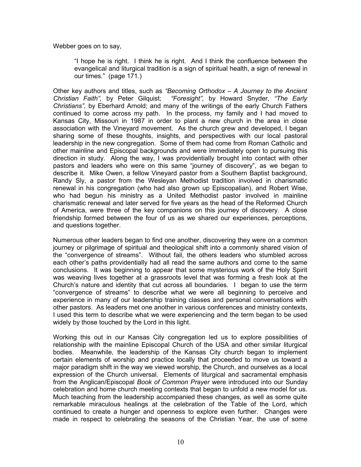Webber goes on to say,

"I hope he is right. I think he is right. And I think the confluence between the evangelical and liturgical tradition is a sign of spiritual health, a sign of renewal in our times." (page 171.)

Other key authors and titles, such as *"Becoming Orthodox – A Journey to the Ancient Christian Faith",* by Peter Gilquist; *"Foresight",* by Howard Snyder, *"The Early Christians",* by Eberhard Arnold; and many of the writings of the early Church Fathers continued to come across my path. In the process, my family and I had moved to Kansas City, Missouri in 1987 in order to plant a new church in the area in close association with the Vineyard movement. As the church grew and developed, I began sharing some of these thoughts, insights, and perspectives with our local pastoral leadership in the new congregation. Some of them had come from Roman Catholic and other mainline and Episcopal backgrounds and were immediately open to pursuing this direction in study. Along the way, I was providentially brought into contact with other pastors and leaders who were on this same "journey of discovery", as we began to describe it. Mike Owen, a fellow Vineyard pastor from a Southern Baptist background, Randy Sly, a pastor from the Wesleyan Methodist tradition involved in charismatic renewal in his congregation (who had also grown up Episcopalian), and Robert Wise, who had begun his ministry as a United Methodist pastor involved in mainline charismatic renewal and later served for five years as the head of the Reformed Church of America, were three of the key companions on this journey of discovery. A close friendship formed between the four of us as we shared our experiences, perceptions, and questions together.

Numerous other leaders began to find one another, discovering they were on a common journey or pilgrimage of spiritual and theological shift into a commonly shared vision of the "convergence of streams". Without fail, the others leaders who stumbled across each other's paths providentially had all read the same authors and come to the same conclusions. It was beginning to appear that some mysterious work of the Holy Spirit was weaving lives together at a grassroots level that was forming a fresh look at the Church's nature and identity that cut across all boundaries. I began to use the term "convergence of streams" to describe what we were all beginning to perceive and experience in many of our leadership training classes and personal conversations with other pastors. As leaders met one another in various conferences and ministry contexts, I used this term to describe what we were experiencing and the term began to be used widely by those touched by the Lord in this light.

Working this out in our Kansas City congregation led us to explore possibilities of relationship with the mainline Episcopal Church of the USA and other similar liturgical bodies. Meanwhile, the leadership of the Kansas City church began to implement certain elements of worship and practice locally that proceeded to move us toward a major paradigm shift in the way we viewed worship, the Church, and ourselves as a local expression of the Church universal. Elements of liturgical and sacramental emphasis from the Anglican/Episcopal *Book of Common Prayer* were introduced into our Sunday celebration and home church meeting contexts that began to unfold a new model for us. Much teaching from the leadership accompanied these changes, as well as some quite remarkable miraculous healings at the celebration of the Table of the Lord, which continued to create a hunger and openness to explore even further. Changes were made in respect to celebrating the seasons of the Christian Year, the use of some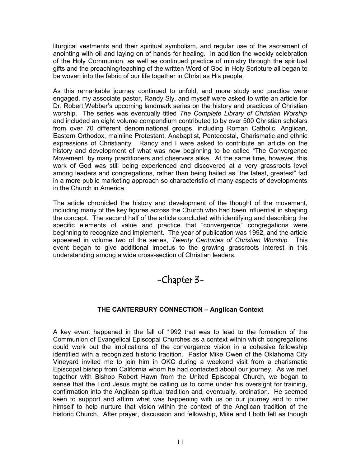liturgical vestments and their spiritual symbolism, and regular use of the sacrament of anointing with oil and laying on of hands for healing. In addition the weekly celebration of the Holy Communion, as well as continued practice of ministry through the spiritual gifts and the preaching/teaching of the written Word of God in Holy Scripture all began to be woven into the fabric of our life together in Christ as His people.

As this remarkable journey continued to unfold, and more study and practice were engaged, my associate pastor, Randy Sly, and myself were asked to write an article for Dr. Robert Webber's upcoming landmark series on the history and practices of Christian worship. The series was eventually titled *The Complete Library of Christian Worship* and included an eight volume compendium contributed to by over 500 Christian scholars from over 70 different denominational groups, including Roman Catholic, Anglican, Eastern Orthodox, mainline Protestant, Anabaptist, Pentecostal, Charismatic and ethnic expressions of Christianity. Randy and I were asked to contribute an article on the history and development of what was now beginning to be called "The Convergence Movement" by many practitioners and observers alike. At the same time, however, this work of God was still being experienced and discovered at a very grassroots level among leaders and congregations, rather than being hailed as "the latest, greatest" fad in a more public marketing approach so characteristic of many aspects of developments in the Church in America.

The article chronicled the history and development of the thought of the movement, including many of the key figures across the Church who had been influential in shaping the concept. The second half of the article concluded with identifying and describing the specific elements of value and practice that "convergence" congregations were beginning to recognize and implement. The year of publication was 1992, and the article appeared in volume two of the series, *Twenty Centuries of Christian Worship.* This event began to give additional impetus to the growing grassroots interest in this understanding among a wide cross-section of Christian leaders.

# -Chapter 3-

# **THE CANTERBURY CONNECTION – Anglican Context**

A key event happened in the fall of 1992 that was to lead to the formation of the Communion of Evangelical Episcopal Churches as a context within which congregations could work out the implications of the convergence vision in a cohesive fellowship identified with a recognized historic tradition. Pastor Mike Owen of the Oklahoma City Vineyard invited me to join him in OKC during a weekend visit from a charismatic Episcopal bishop from California whom he had contacted about our journey. As we met together with Bishop Robert Hawn from the United Episcopal Church, we began to sense that the Lord Jesus might be calling us to come under his oversight for training, confirmation into the Anglican spiritual tradition and, eventually, ordination. He seemed keen to support and affirm what was happening with us on our journey and to offer himself to help nurture that vision within the context of the Anglican tradition of the historic Church. After prayer, discussion and fellowship, Mike and I both felt as though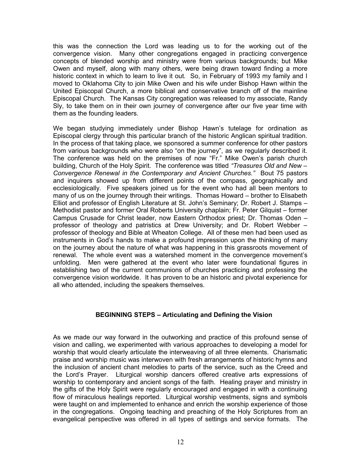this was the connection the Lord was leading us to for the working out of the convergence vision. Many other congregations engaged in practicing convergence concepts of blended worship and ministry were from various backgrounds; but Mike Owen and myself, along with many others, were being drawn toward finding a more historic context in which to learn to live it out. So, in February of 1993 my family and I moved to Oklahoma City to join Mike Owen and his wife under Bishop Hawn within the United Episcopal Church, a more biblical and conservative branch off of the mainline Episcopal Church. The Kansas City congregation was released to my associate, Randy Sly, to take them on in their own journey of convergence after our five year time with them as the founding leaders.

We began studying immediately under Bishop Hawn's tutelage for ordination as Episcopal clergy through this particular branch of the historic Anglican spiritual tradition. In the process of that taking place, we sponsored a summer conference for other pastors from various backgrounds who were also "on the journey", as we regularly described it. The conference was held on the premises of now "Fr." Mike Owen's parish church building, Church of the Holy Spirit. The conference was titled *"Treasures Old and New – Convergence Renewal in the Contemporary and Ancient Churches."* Bout 75 pastors and inquirers showed up from different points of the compass, geographically and ecclesiologically. Five speakers joined us for the event who had all been mentors to many of us on the journey through their writings. Thomas Howard – brother to Elisabeth Elliot and professor of English Literature at St. John's Seminary; Dr. Robert J. Stamps – Methodist pastor and former Oral Roberts University chaplain; Fr. Peter Gilquist – former Campus Crusade for Christ leader, now Eastern Orthodox priest; Dr. Thomas Oden – professor of theology and patristics at Drew University; and Dr. Robert Webber – professor of theology and Bible at Wheaton College. All of these men had been used as instruments in God's hands to make a profound impression upon the thinking of many on the journey about the nature of what was happening in this grassroots movement of renewal. The whole event was a watershed moment in the convergence movement's unfolding. Men were gathered at the event who later were foundational figures in establishing two of the current communions of churches practicing and professing the convergence vision worldwide. It has proven to be an historic and pivotal experience for all who attended, including the speakers themselves.

## **BEGINNING STEPS – Articulating and Defining the Vision**

As we made our way forward in the outworking and practice of this profound sense of vision and calling, we experimented with various approaches to developing a model for worship that would clearly articulate the interweaving of all three elements. Charismatic praise and worship music was interwoven with fresh arrangements of historic hymns and the inclusion of ancient chant melodies to parts of the service, such as the Creed and the Lord's Prayer. Liturgical worship dancers offered creative arts expressions of worship to contemporary and ancient songs of the faith. Healing prayer and ministry in the gifts of the Holy Spirit were regularly encouraged and engaged in with a continuing flow of miraculous healings reported. Liturgical worship vestments, signs and symbols were taught on and implemented to enhance and enrich the worship experience of those in the congregations. Ongoing teaching and preaching of the Holy Scriptures from an evangelical perspective was offered in all types of settings and service formats. The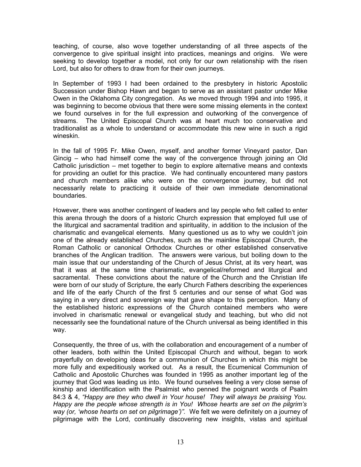teaching, of course, also wove together understanding of all three aspects of the convergence to give spiritual insight into practices, meanings and origins. We were seeking to develop together a model, not only for our own relationship with the risen Lord, but also for others to draw from for their own journeys.

In September of 1993 I had been ordained to the presbytery in historic Apostolic Succession under Bishop Hawn and began to serve as an assistant pastor under Mike Owen in the Oklahoma City congregation. As we moved through 1994 and into 1995, it was beginning to become obvious that there were some missing elements in the context we found ourselves in for the full expression and outworking of the convergence of streams. The United Episcopal Church was at heart much too conservative and traditionalist as a whole to understand or accommodate this new wine in such a rigid wineskin.

In the fall of 1995 Fr. Mike Owen, myself, and another former Vineyard pastor, Dan Gincig – who had himself come the way of the convergence through joining an Old Catholic jurisdiction – met together to begin to explore alternative means and contexts for providing an outlet for this practice. We had continually encountered many pastors and church members alike who were on the convergence journey, but did not necessarily relate to practicing it outside of their own immediate denominational boundaries.

However, there was another contingent of leaders and lay people who felt called to enter this arena through the doors of a historic Church expression that employed full use of the liturgical and sacramental tradition and spirituality, in addition to the inclusion of the charismatic and evangelical elements. Many questioned us as to why we couldn't join one of the already established Churches, such as the mainline Episcopal Church, the Roman Catholic or canonical Orthodox Churches or other established conservative branches of the Anglican tradition. The answers were various, but boiling down to the main issue that our understanding of the Church of Jesus Christ, at its very heart, was that it was at the same time charismatic, evangelical/reformed and liturgical and sacramental. These convictions about the nature of the Church and the Christian life were born of our study of Scripture, the early Church Fathers describing the experiences and life of the early Church of the first 5 centuries and our sense of what God was saying in a very direct and sovereign way that gave shape to this perception. Many of the established historic expressions of the Church contained members who were involved in charismatic renewal or evangelical study and teaching, but who did not necessarily see the foundational nature of the Church universal as being identified in this way.

Consequently, the three of us, with the collaboration and encouragement of a number of other leaders, both within the United Episcopal Church and without, began to work prayerfully on developing ideas for a communion of Churches in which this might be more fully and expeditiously worked out. As a result, the Ecumenical Communion of Catholic and Apostolic Churches was founded in 1995 as another important leg of the journey that God was leading us into. We found ourselves feeling a very close sense of kinship and identification with the Psalmist who penned the poignant words of Psalm 84:3 & 4, *"Happy are they who dwell in Your house! They will always be praising You. Happy are the people whose strength is in You! Whose hearts are set on the pilgrim's way (or, 'whose hearts on set on pilgrimage')".* We felt we were definitely on a journey of pilgrimage with the Lord, continually discovering new insights, vistas and spiritual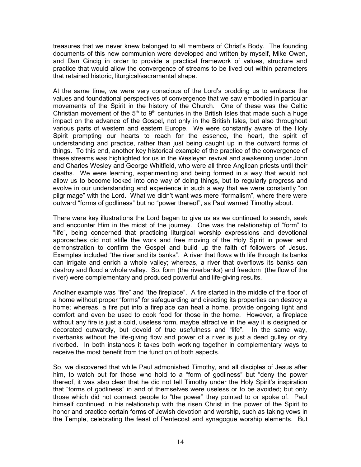treasures that we never knew belonged to all members of Christ's Body. The founding documents of this new communion were developed and written by myself, Mike Owen, and Dan Gincig in order to provide a practical framework of values, structure and practice that would allow the convergence of streams to be lived out within parameters that retained historic, liturgical/sacramental shape.

At the same time, we were very conscious of the Lord's prodding us to embrace the values and foundational perspectives of convergence that we saw embodied in particular movements of the Spirit in the history of the Church. One of these was the Celtic Christian movement of the  $5<sup>th</sup>$  to  $9<sup>th</sup>$  centuries in the British Isles that made such a huge impact on the advance of the Gospel, not only in the British Isles, but also throughout various parts of western and eastern Europe. We were constantly aware of the Holy Spirit prompting our hearts to reach for the essence, the heart, the spirit of understanding and practice, rather than just being caught up in the outward forms of things. To this end, another key historical example of the practice of the convergence of these streams was highlighted for us in the Wesleyan revival and awakening under John and Charles Wesley and George Whitfield, who were all three Anglican priests until their deaths. We were learning, experimenting and being formed in a way that would not allow us to become locked into one way of doing things, but to regularly progress and evolve in our understanding and experience in such a way that we were constantly "on pilgrimage" with the Lord. What we didn't want was mere "formalism", where there were outward "forms of godliness" but no "power thereof", as Paul warned Timothy about.

There were key illustrations the Lord began to give us as we continued to search, seek and encounter Him in the midst of the journey. One was the relationship of "form" to "life", being concerned that practicing liturgical worship expressions and devotional approaches did not stifle the work and free moving of the Holy Spirit in power and demonstration to confirm the Gospel and build up the faith of followers of Jesus. Examples included "the river and its banks". A river that flows with life through its banks can irrigate and enrich a whole valley; whereas, a river that overflows its banks can destroy and flood a whole valley. So, form (the riverbanks) and freedom (the flow of the river) were complementary and produced powerful and life-giving results.

Another example was "fire" and "the fireplace". A fire started in the middle of the floor of a home without proper "forms" for safeguarding and directing its properties can destroy a home; whereas, a fire put into a fireplace can heat a home, provide ongoing light and comfort and even be used to cook food for those in the home. However, a fireplace without any fire is just a cold, useless form, maybe attractive in the way it is designed or decorated outwardly, but devoid of true usefulness and "life". In the same way, riverbanks without the life-giving flow and power of a river is just a dead gulley or dry riverbed. In both instances it takes both working together in complementary ways to receive the most benefit from the function of both aspects.

So, we discovered that while Paul admonished Timothy, and all disciples of Jesus after him, to watch out for those who hold to a "form of godliness" but "deny the power thereof, it was also clear that he did not tell Timothy under the Holy Spirit's inspiration that "forms of godliness" in and of themselves were useless or to be avoided; but only those which did not connect people to "the power" they pointed to or spoke of. Paul himself continued in his relationship with the risen Christ in the power of the Spirit to honor and practice certain forms of Jewish devotion and worship, such as taking vows in the Temple, celebrating the feast of Pentecost and synagogue worship elements. But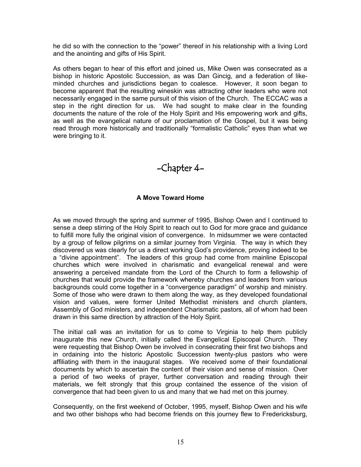he did so with the connection to the "power" thereof in his relationship with a living Lord and the anointing and gifts of His Spirit.

As others began to hear of this effort and joined us, Mike Owen was consecrated as a bishop in historic Apostolic Succession, as was Dan Gincig, and a federation of likeminded churches and jurisdictions began to coalesce. However, it soon began to become apparent that the resulting wineskin was attracting other leaders who were not necessarily engaged in the same pursuit of this vision of the Church. The ECCAC was a step in the right direction for us. We had sought to make clear in the founding documents the nature of the role of the Holy Spirit and His empowering work and gifts, as well as the evangelical nature of our proclamation of the Gospel, but it was being read through more historically and traditionally "formalistic Catholic" eyes than what we were bringing to it.

# -Chapter 4-

## **A Move Toward Home**

As we moved through the spring and summer of 1995, Bishop Owen and I continued to sense a deep stirring of the Holy Spirit to reach out to God for more grace and guidance to fulfill more fully the original vision of convergence. In midsummer we were contacted by a group of fellow pilgrims on a similar journey from Virginia. The way in which they discovered us was clearly for us a direct working God's providence, proving indeed to be a "divine appointment". The leaders of this group had come from mainline Episcopal churches which were involved in charismatic and evangelical renewal and were answering a perceived mandate from the Lord of the Church to form a fellowship of churches that would provide the framework whereby churches and leaders from various backgrounds could come together in a "convergence paradigm" of worship and ministry. Some of those who were drawn to them along the way, as they developed foundational vision and values, were former United Methodist ministers and church planters, Assembly of God ministers, and independent Charismatic pastors, all of whom had been drawn in this same direction by attraction of the Holy Spirit.

The initial call was an invitation for us to come to Virginia to help them publicly inaugurate this new Church, initially called the Evangelical Episcopal Church. They were requesting that Bishop Owen be involved in consecrating their first two bishops and in ordaining into the historic Apostolic Succession twenty-plus pastors who were affiliating with them in the inaugural stages. We received some of their foundational documents by which to ascertain the content of their vision and sense of mission. Over a period of two weeks of prayer, further conversation and reading through their materials, we felt strongly that this group contained the essence of the vision of convergence that had been given to us and many that we had met on this journey.

Consequently, on the first weekend of October, 1995, myself, Bishop Owen and his wife and two other bishops who had become friends on this journey flew to Fredericksburg,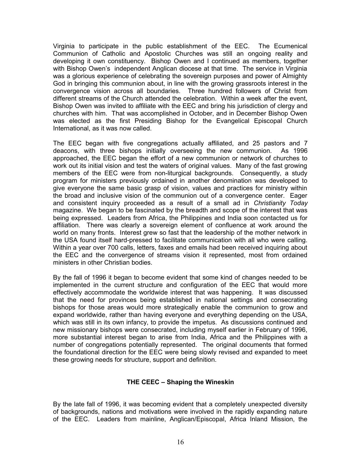Virginia to participate in the public establishment of the EEC. The Ecumenical Communion of Catholic and Apostolic Churches was still an ongoing reality and developing it own constituency. Bishop Owen and I continued as members, together with Bishop Owen's independent Anglican diocese at that time. The service in Virginia was a glorious experience of celebrating the sovereign purposes and power of Almighty God in bringing this communion about, in line with the growing grassroots interest in the convergence vision across all boundaries. Three hundred followers of Christ from different streams of the Church attended the celebration. Within a week after the event, Bishop Owen was invited to affiliate with the EEC and bring his jurisdiction of clergy and churches with him. That was accomplished in October, and in December Bishop Owen was elected as the first Presiding Bishop for the Evangelical Episcopal Church International, as it was now called.

The EEC began with five congregations actually affiliated, and 25 pastors and 7 deacons, with three bishops initially overseeing the new communion. As 1996 approached, the EEC began the effort of a new communion or network of churches to work out its initial vision and test the waters of original values. Many of the fast growing members of the EEC were from non-liturgical backgrounds. Consequently, a study program for ministers previously ordained in another denomination was developed to give everyone the same basic grasp of vision, values and practices for ministry within the broad and inclusive vision of the communion out of a convergence center. Eager and consistent inquiry proceeded as a result of a small ad in *Christianity Today* magazine. We began to be fascinated by the breadth and scope of the interest that was being expressed. Leaders from Africa, the Philippines and India soon contacted us for affiliation. There was clearly a sovereign element of confluence at work around the world on many fronts. Interest grew so fast that the leadership of the mother network in the USA found itself hard-pressed to facilitate communication with all who were calling. Within a year over 700 calls, letters, faxes and emails had been received inquiring about the EEC and the convergence of streams vision it represented, most from ordained ministers in other Christian bodies.

By the fall of 1996 it began to become evident that some kind of changes needed to be implemented in the current structure and configuration of the EEC that would more effectively accommodate the worldwide interest that was happening. It was discussed that the need for provinces being established in national settings and consecrating bishops for those areas would more strategically enable the communion to grow and expand worldwide, rather than having everyone and everything depending on the USA, which was still in its own infancy, to provide the impetus. As discussions continued and new missionary bishops were consecrated, including myself earlier in February of 1996, more substantial interest began to arise from India, Africa and the Philippines with a number of congregations potentially represented. The original documents that formed the foundational direction for the EEC were being slowly revised and expanded to meet these growing needs for structure, support and definition.

## **THE CEEC – Shaping the Wineskin**

By the late fall of 1996, it was becoming evident that a completely unexpected diversity of backgrounds, nations and motivations were involved in the rapidly expanding nature of the EEC. Leaders from mainline, Anglican/Episcopal, Africa Inland Mission, the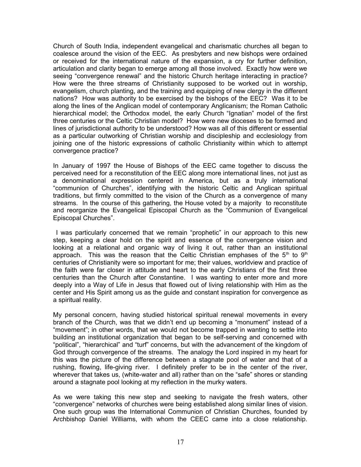Church of South India, independent evangelical and charismatic churches all began to coalesce around the vision of the EEC. As presbyters and new bishops were ordained or received for the international nature of the expansion, a cry for further definition, articulation and clarity began to emerge among all those involved. Exactly how were we seeing "convergence renewal" and the historic Church heritage interacting in practice? How were the three streams of Christianity supposed to be worked out in worship, evangelism, church planting, and the training and equipping of new clergy in the different nations? How was authority to be exercised by the bishops of the EEC? Was it to be along the lines of the Anglican model of contemporary Anglicanism; the Roman Catholic hierarchical model; the Orthodox model, the early Church "Ignatian" model of the first three centuries or the Celtic Christian model? How were new dioceses to be formed and lines of jurisdictional authority to be understood? How was all of this different or essential as a particular outworking of Christian worship and discipleship and ecclesiology from joining one of the historic expressions of catholic Christianity within which to attempt convergence practice?

In January of 1997 the House of Bishops of the EEC came together to discuss the perceived need for a reconstitution of the EEC along more international lines, not just as a denominational expression centered in America, but as a truly international "communion of Churches", identifying with the historic Celtic and Anglican spiritual traditions, but firmly committed to the vision of the Church as a convergence of many streams. In the course of this gathering, the House voted by a majority to reconstitute and reorganize the Evangelical Episcopal Church as the "Communion of Evangelical Episcopal Churches".

 I was particularly concerned that we remain "prophetic" in our approach to this new step, keeping a clear hold on the spirit and essence of the convergence vision and looking at a relational and organic way of living it out, rather than an institutional approach. This was the reason that the Celtic Christian emphases of the  $5<sup>th</sup>$  to  $9<sup>th</sup>$ centuries of Christianity were so important for me; their values, worldview and practice of the faith were far closer in attitude and heart to the early Christians of the first three centuries than the Church after Constantine. I was wanting to enter more and more deeply into a Way of Life in Jesus that flowed out of living relationship with Him as the center and His Spirit among us as the guide and constant inspiration for convergence as a spiritual reality.

My personal concern, having studied historical spiritual renewal movements in every branch of the Church, was that we didn't end up becoming a "monument" instead of a "movement"; in other words, that we would not become trapped in wanting to settle into building an institutional organization that began to be self-serving and concerned with "political", "hierarchical" and "turf" concerns, but with the advancement of the kingdom of God through convergence of the streams. The analogy the Lord inspired in my heart for this was the picture of the difference between a stagnate pool of water and that of a rushing, flowing, life-giving river. I definitely prefer to be in the center of the river, wherever that takes us, (white-water and all) rather than on the "safe" shores or standing around a stagnate pool looking at my reflection in the murky waters.

As we were taking this new step and seeking to navigate the fresh waters, other "convergence" networks of churches were being established along similar lines of vision. One such group was the International Communion of Christian Churches, founded by Archbishop Daniel Williams, with whom the CEEC came into a close relationship.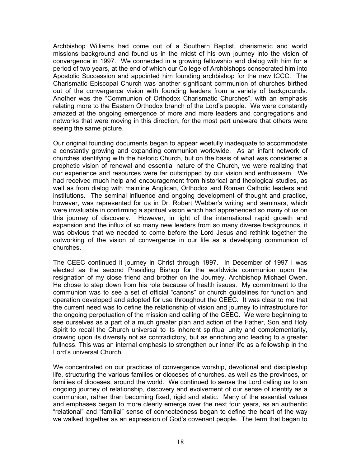Archbishop Williams had come out of a Southern Baptist, charismatic and world missions background and found us in the midst of his own journey into the vision of convergence in 1997. We connected in a growing fellowship and dialog with him for a period of two years, at the end of which our College of Archbishops consecrated him into Apostolic Succession and appointed him founding archbishop for the new ICCC. The Charismatic Episcopal Church was another significant communion of churches birthed out of the convergence vision with founding leaders from a variety of backgrounds. Another was the "Communion of Orthodox Charismatic Churches", with an emphasis relating more to the Eastern Orthodox branch of the Lord's people. We were constantly amazed at the ongoing emergence of more and more leaders and congregations and networks that were moving in this direction, for the most part unaware that others were seeing the same picture.

Our original founding documents began to appear woefully inadequate to accommodate a constantly growing and expanding communion worldwide. As an infant network of churches identifying with the historic Church, but on the basis of what was considered a prophetic vision of renewal and essential nature of the Church, we were realizing that our experience and resources were far outstripped by our vision and enthusiasm. We had received much help and encouragement from historical and theological studies, as well as from dialog with mainline Anglican, Orthodox and Roman Catholic leaders and institutions. The seminal influence and ongoing development of thought and practice, however, was represented for us in Dr. Robert Webber's writing and seminars, which were invaluable in confirming a spiritual vision which had apprehended so many of us on this journey of discovery. However, in light of the international rapid growth and expansion and the influx of so many new leaders from so many diverse backgrounds, it was obvious that we needed to come before the Lord Jesus and rethink together the outworking of the vision of convergence in our life as a developing communion of churches.

The CEEC continued it journey in Christ through 1997. In December of 1997 I was elected as the second Presiding Bishop for the worldwide communion upon the resignation of my close friend and brother on the Journey, Archbishop Michael Owen. He chose to step down from his role because of health issues. My commitment to the communion was to see a set of official "canons" or church guidelines for function and operation developed and adopted for use throughout the CEEC. It was clear to me that the current need was to define the relationship of vision and journey to infrastructure for the ongoing perpetuation of the mission and calling of the CEEC. We were beginning to see ourselves as a part of a much greater plan and action of the Father. Son and Holy Spirit to recall the Church universal to its inherent spiritual unity and complementarity, drawing upon its diversity not as contradictory, but as enriching and leading to a greater fullness. This was an internal emphasis to strengthen our inner life as a fellowship in the Lord's universal Church.

We concentrated on our practices of convergence worship, devotional and discipleship life, structuring the various families or dioceses of churches, as well as the provinces, or families of dioceses, around the world. We continued to sense the Lord calling us to an ongoing journey of relationship, discovery and evolvement of our sense of identity as a communion, rather than becoming fixed, rigid and static. Many of the essential values and emphases began to more clearly emerge over the next four years, as an authentic "relational" and "familial" sense of connectedness began to define the heart of the way we walked together as an expression of God's covenant people. The term that began to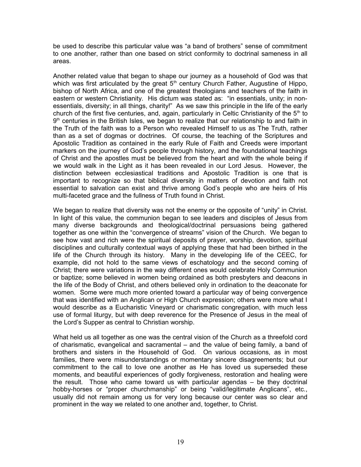be used to describe this particular value was "a band of brothers" sense of commitment to one another, rather than one based on strict conformity to doctrinal sameness in all areas.

Another related value that began to shape our journey as a household of God was that which was first articulated by the great  $5<sup>th</sup>$  century Church Father, Augustine of Hippo, bishop of North Africa, and one of the greatest theologians and teachers of the faith in eastern or western Christianity. His dictum was stated as: "in essentials, unity; in nonessentials, diversity; in all things, charity!" As we saw this principle in the life of the early church of the first five centuries, and, again, particularly in Celtic Christianity of the  $5<sup>th</sup>$  to 9<sup>th</sup> centuries in the British Isles, we began to realize that our relationship to and faith in the Truth of the faith was to a Person who revealed Himself to us as The Truth, rather than as a set of dogmas or doctrines. Of course, the teaching of the Scriptures and Apostolic Tradition as contained in the early Rule of Faith and Creeds were important markers on the journey of God's people through history, and the foundational teachings of Christ and the apostles must be believed from the heart and with the whole being if we would walk in the Light as it has been revealed in our Lord Jesus. However, the distinction between ecclesiastical traditions and Apostolic Tradition is one that is important to recognize so that biblical diversity in matters of devotion and faith not essential to salvation can exist and thrive among God's people who are heirs of His multi-faceted grace and the fullness of Truth found in Christ.

We began to realize that diversity was not the enemy or the opposite of "unity" in Christ. In light of this value, the communion began to see leaders and disciples of Jesus from many diverse backgrounds and theological/doctrinal persuasions being gathered together as one within the "convergence of streams" vision of the Church. We began to see how vast and rich were the spiritual deposits of prayer, worship, devotion, spiritual disciplines and culturally contextual ways of applying these that had been birthed in the life of the Church through its history. Many in the developing life of the CEEC, for example, did not hold to the same views of eschatology and the second coming of Christ; there were variations in the way different ones would celebrate Holy Communion or baptize; some believed in women being ordained as both presbyters and deacons in the life of the Body of Christ, and others believed only in ordination to the deaconate for women. Some were much more oriented toward a particular way of being convergence that was identified with an Anglican or High Church expression; others were more what I would describe as a Eucharistic Vineyard or charismatic congregation, with much less use of formal liturgy, but with deep reverence for the Presence of Jesus in the meal of the Lord's Supper as central to Christian worship.

What held us all together as one was the central vision of the Church as a threefold cord of charismatic, evangelical and sacramental – and the value of being family, a band of brothers and sisters in the Household of God. On various occasions, as in most families, there were misunderstandings or momentary sincere disagreements; but our commitment to the call to love one another as He has loved us superseded these moments, and beautiful experiences of godly forgiveness, restoration and healing were the result. Those who came toward us with particular agendas – be they doctrinal hobby-horses or "proper churchmanship" or being "valid/legitimate Anglicans", etc., usually did not remain among us for very long because our center was so clear and prominent in the way we related to one another and, together, to Christ.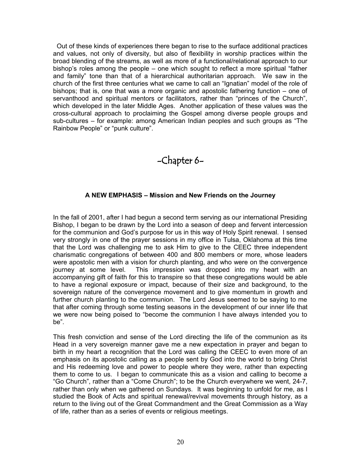Out of these kinds of experiences there began to rise to the surface additional practices and values, not only of diversity, but also of flexibility in worship practices within the broad blending of the streams, as well as more of a functional/relational approach to our bishop's roles among the people – one which sought to reflect a more spiritual "father and family" tone than that of a hierarchical authoritarian approach. We saw in the church of the first three centuries what we came to call an "Ignatian" model of the role of bishops; that is, one that was a more organic and apostolic fathering function – one of servanthood and spiritual mentors or facilitators, rather than "princes of the Church", which developed in the later Middle Ages. Another application of these values was the cross-cultural approach to proclaiming the Gospel among diverse people groups and sub-cultures – for example: among American Indian peoples and such groups as "The Rainbow People" or "punk culture".

# -Chapter 6-

## **A NEW EMPHASIS – Mission and New Friends on the Journey**

In the fall of 2001, after I had begun a second term serving as our international Presiding Bishop, I began to be drawn by the Lord into a season of deep and fervent intercession for the communion and God's purpose for us in this way of Holy Spirit renewal. I sensed very strongly in one of the prayer sessions in my office in Tulsa, Oklahoma at this time that the Lord was challenging me to ask Him to give to the CEEC three independent charismatic congregations of between 400 and 800 members or more, whose leaders were apostolic men with a vision for church planting, and who were on the convergence journey at some level. This impression was dropped into my heart with an accompanying gift of faith for this to transpire so that these congregations would be able to have a regional exposure or impact, because of their size and background, to the sovereign nature of the convergence movement and to give momentum in growth and further church planting to the communion. The Lord Jesus seemed to be saying to me that after coming through some testing seasons in the development of our inner life that we were now being poised to "become the communion I have always intended you to be".

This fresh conviction and sense of the Lord directing the life of the communion as its Head in a very sovereign manner gave me a new expectation in prayer and began to birth in my heart a recognition that the Lord was calling the CEEC to even more of an emphasis on its apostolic calling as a people sent by God into the world to bring Christ and His redeeming love and power to people where they were, rather than expecting them to come to us. I began to communicate this as a vision and calling to become a "Go Church", rather than a "Come Church"; to be the Church everywhere we went, 24-7, rather than only when we gathered on Sundays. It was beginning to unfold for me, as I studied the Book of Acts and spiritual renewal/revival movements through history, as a return to the living out of the Great Commandment and the Great Commission as a Way of life, rather than as a series of events or religious meetings.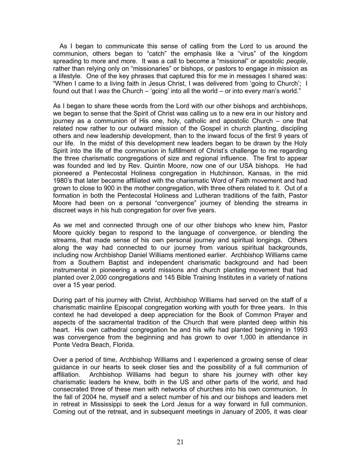As I began to communicate this sense of calling from the Lord to us around the communion, others began to "catch" the emphasis like a "virus" of the kingdom spreading to more and more. It was a call to become a "missional" or apostolic *people*, rather than relying only on "missionaries" or bishops, or pastors to engage in mission as a lifestyle. One of the key phrases that captured this for me in messages I shared was: "When I came to a living faith in Jesus Christ, I was delivered from 'going to Church'; I found out that I *was* the Church – 'going' into all the world – or into every man's world."

As I began to share these words from the Lord with our other bishops and archbishops, we began to sense that the Spirit of Christ was calling us to a new era in our history and journey as a communion of His one, holy, catholic and apostolic Church – one that related now rather to our outward mission of the Gospel in church planting, discipling others and new leadership development, than to the inward focus of the first 9 years of our life. In the midst of this development new leaders began to be drawn by the Holy Spirit into the life of the communion in fulfillment of Christ's challenge to me regarding the three charismatic congregations of size and regional influence. The first to appear was founded and led by Rev. Quintin Moore, now one of our USA bishops. He had pioneered a Pentecostal Holiness congregation in Hutchinson, Kansas, in the mid 1980's that later became affiliated with the charismatic Word of Faith movement and had grown to close to 900 in the mother congregation, with three others related to it. Out of a formation in both the Pentecostal Holiness and Lutheran traditions of the faith, Pastor Moore had been on a personal "convergence" journey of blending the streams in discreet ways in his hub congregation for over five years.

As we met and connected through one of our other bishops who knew him, Pastor Moore quickly began to respond to the language of convergence, or blending the streams, that made sense of his own personal journey and spiritual longings. Others along the way had connected to our journey from various spiritual backgrounds, including now Archbishop Daniel Williams mentioned earlier. Archbishop Williams came from a Southern Baptist and independent charismatic background and had been instrumental in pioneering a world missions and church planting movement that had planted over 2,000 congregations and 145 Bible Training Institutes in a variety of nations over a 15 year period.

During part of his journey with Christ, Archbishop Williams had served on the staff of a charismatic mainline Episcopal congregation working with youth for three years. In this context he had developed a deep appreciation for the Book of Common Prayer and aspects of the sacramental tradition of the Church that were planted deep within his heart. His own cathedral congregation he and his wife had planted beginning in 1993 was convergence from the beginning and has grown to over 1,000 in attendance in Ponte Vedra Beach, Florida.

Over a period of time, Archbishop Williams and I experienced a growing sense of clear guidance in our hearts to seek closer ties and the possibility of a full communion of affiliation. Archbishop Williams had begun to share his journey with other key charismatic leaders he knew, both in the US and other parts of the world, and had consecrated three of these men with networks of churches into his own communion. In the fall of 2004 he, myself and a select number of his and our bishops and leaders met in retreat in Mississippi to seek the Lord Jesus for a way forward in full communion. Coming out of the retreat, and in subsequent meetings in January of 2005, it was clear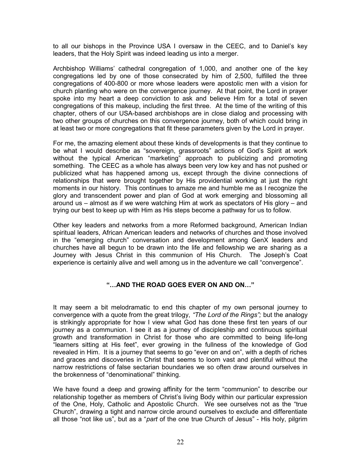to all our bishops in the Province USA I oversaw in the CEEC, and to Daniel's key leaders, that the Holy Spirit was indeed leading us into a merger.

Archbishop Williams' cathedral congregation of 1,000, and another one of the key congregations led by one of those consecrated by him of 2,500, fulfilled the three congregations of 400-800 or more whose leaders were apostolic men with a vision for church planting who were on the convergence journey. At that point, the Lord in prayer spoke into my heart a deep conviction to ask and believe Him for a total of seven congregations of this makeup, including the first three. At the time of the writing of this chapter, others of our USA-based archbishops are in close dialog and processing with two other groups of churches on this convergence journey, both of which could bring in at least two or more congregations that fit these parameters given by the Lord in prayer.

For me, the amazing element about these kinds of developments is that they continue to be what I would describe as "sovereign, grassroots" actions of God's Spirit at work without the typical American "marketing" approach to publicizing and promoting something. The CEEC as a whole has always been very low key and has not pushed or publicized what has happened among us, except through the divine connections of relationships that were brought together by His providential working at just the right moments in our history. This continues to amaze me and humble me as I recognize the glory and transcendent power and plan of God at work emerging and blossoming all around us – almost as if we were watching Him at work as spectators of His glory – and trying our best to keep up with Him as His steps become a pathway for us to follow.

Other key leaders and networks from a more Reformed background, American Indian spiritual leaders, African American leaders and networks of churches and those involved in the "emerging church" conversation and development among GenX leaders and churches have all begun to be drawn into the life and fellowship we are sharing as a Journey with Jesus Christ in this communion of His Church. The Joseph's Coat experience is certainly alive and well among us in the adventure we call "convergence".

## **"…AND THE ROAD GOES EVER ON AND ON…"**

It may seem a bit melodramatic to end this chapter of my own personal journey to convergence with a quote from the great trilogy, *"The Lord of the Rings";* but the analogy is strikingly appropriate for how I view what God has done these first ten years of our journey as a communion. I see it as a journey of discipleship and continuous spiritual growth and transformation in Christ for those who are committed to being life-long "learners sitting at His feet", ever growing in the fullness of the knowledge of God revealed in Him. It is a journey that seems to go "ever on and on", with a depth of riches and graces and discoveries in Christ that seems to loom vast and plentiful without the narrow restrictions of false sectarian boundaries we so often draw around ourselves in the brokenness of "denominational" thinking.

We have found a deep and growing affinity for the term "communion" to describe our relationship together as members of Christ's living Body within our particular expression of the One, Holy, Catholic and Apostolic Church. We see ourselves not as the "true Church", drawing a tight and narrow circle around ourselves to exclude and differentiate all those "not like us", but as a "*part* of the one true Church of Jesus" - His holy, pilgrim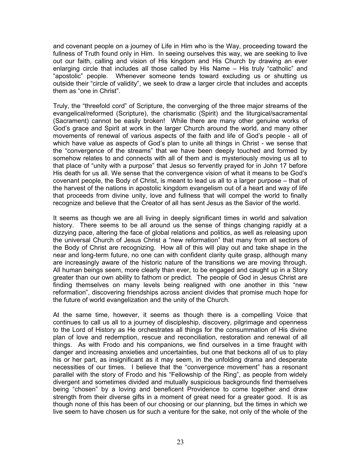and covenant people on a journey of Life in Him who is the Way, proceeding toward the fullness of Truth found only in Him. In seeing ourselves this way, we are seeking to live out our faith, calling and vision of His kingdom and His Church by drawing an ever enlarging circle that includes all those called by His Name – His truly "catholic" and "apostolic" people. Whenever someone tends toward excluding us or shutting us outside their "circle of validity", we seek to draw a larger circle that includes and accepts them as "one in Christ".

Truly, the "threefold cord" of Scripture, the converging of the three major streams of the evangelical/reformed (Scripture), the charismatic (Spirit) and the liturgical/sacramental (Sacrament) cannot be easily broken! While there are many other genuine works of God's grace and Spirit at work in the larger Church around the world, and many other movements of renewal of various aspects of the faith and life of God's people - all of which have value as aspects of God's plan to unite all things in Christ - we sense that the "convergence of the streams" that we have been deeply touched and formed by somehow relates to and connects with all of them and is mysteriously moving us all to that place of "unity with a purpose" that Jesus so fervently prayed for in John 17 before His death for us all. We sense that the convergence vision of what it means to be God's covenant people, the Body of Christ, is meant to lead us all to a larger purpose – that of the harvest of the nations in apostolic kingdom evangelism out of a heart and way of life that proceeds from divine unity, love and fullness that will compel the world to finally recognize and believe that the Creator of all has sent Jesus as the Savior of the world.

It seems as though we are all living in deeply significant times in world and salvation history. There seems to be all around us the sense of things changing rapidly at a dizzying pace, altering the face of global relations and politics, as well as releasing upon the universal Church of Jesus Christ a "new reformation" that many from all sectors of the Body of Christ are recognizing. How all of this will play out and take shape in the near and long-term future, no one can with confident clarity quite grasp, although many are increasingly aware of the historic nature of the transitions we are moving through. All human beings seem, more clearly than ever, to be engaged and caught up in a Story greater than our own ability to fathom or predict. The people of God in Jesus Christ are finding themselves on many levels being realigned with one another in this "new reformation", discovering friendships across ancient divides that promise much hope for the future of world evangelization and the unity of the Church.

At the same time, however, it seems as though there is a compelling Voice that continues to call us all to a journey of discipleship, discovery, pilgrimage and openness to the Lord of History as He orchestrates all things for the consummation of His divine plan of love and redemption, rescue and reconciliation, restoration and renewal of all things. As with Frodo and his companions, we find ourselves in a time fraught with danger and increasing anxieties and uncertainties, but one that beckons all of us to play his or her part, as insignificant as it may seem, in the unfolding drama and desperate necessities of our times. I believe that the "convergence movement" has a resonant parallel with the story of Frodo and his "Fellowship of the Ring", as people from widely divergent and sometimes divided and mutually suspicious backgrounds find themselves being "chosen" by a loving and beneficent Providence to come together and draw strength from their diverse gifts in a moment of great need for a greater good. It is as though none of this has been of our choosing or our planning, but the times in which we live seem to have chosen us for such a venture for the sake, not only of the whole of the